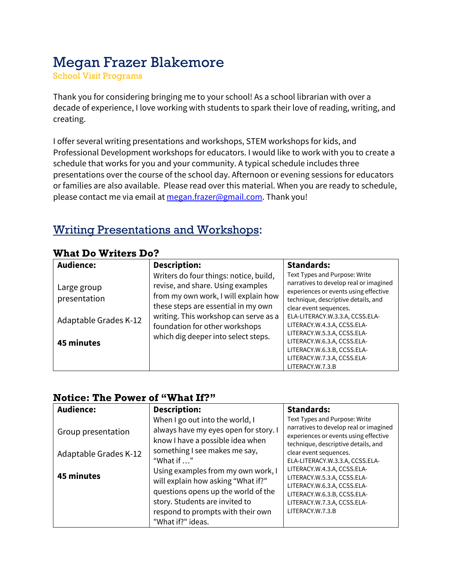# Megan Frazer Blakemore

School Visit Programs

Thank you for considering bringing me to your school! As a school librarian with over a decade of experience, I love working with students to spark their love of reading, writing, and creating.

I offer several writing presentations and workshops, STEM workshops for kids, and Professional Development workshops for educators. I would like to work with you to create a schedule that works for you and your community. A typical schedule includes three presentations over the course of the school day. Afternoon or evening sessions for educators or families are also available. Please read over this material. When you are ready to schedule, please contact me via email at megan.frazer@gmail.com. Thank you!

## Writing Presentations and Workshops:

| <b>Audience:</b>                                     | <b>Description:</b>                                                                                                                                                                                                                   | <b>Standards:</b>                                                                                                                                                                                                                                   |
|------------------------------------------------------|---------------------------------------------------------------------------------------------------------------------------------------------------------------------------------------------------------------------------------------|-----------------------------------------------------------------------------------------------------------------------------------------------------------------------------------------------------------------------------------------------------|
| Large group<br>presentation<br>Adaptable Grades K-12 | Writers do four things: notice, build,<br>revise, and share. Using examples<br>from my own work, I will explain how<br>these steps are essential in my own<br>writing. This workshop can serve as a<br>foundation for other workshops | Text Types and Purpose: Write<br>narratives to develop real or imagined<br>experiences or events using effective<br>technique, descriptive details, and<br>clear event sequences.<br>ELA-LITERACY.W.3.3.A, CCSS.ELA-<br>LITERACY.W.4.3.A, CCSS.ELA- |
| 45 minutes                                           | which dig deeper into select steps.                                                                                                                                                                                                   | LITERACY.W.5.3.A, CCSS.ELA-<br>LITERACY.W.6.3.A, CCSS.ELA-<br>LITERACY.W.6.3.B, CCSS.ELA-<br>LITERACY.W.7.3.A, CCSS.ELA-<br>LITERACY.W.7.3.B                                                                                                        |

### **What Do Writers Do?**

### **Notice: The Power of "What If?"**

| <b>Audience:</b>                            | <b>Description:</b>                                                                                                                                                                                  | <b>Standards:</b>                                                                                                                                                                                              |
|---------------------------------------------|------------------------------------------------------------------------------------------------------------------------------------------------------------------------------------------------------|----------------------------------------------------------------------------------------------------------------------------------------------------------------------------------------------------------------|
| Group presentation<br>Adaptable Grades K-12 | When I go out into the world, I<br>always have my eyes open for story. I<br>know I have a possible idea when<br>something I see makes me say,                                                        | Text Types and Purpose: Write<br>narratives to develop real or imagined<br>experiences or events using effective<br>technique, descriptive details, and<br>clear event sequences.                              |
| 45 minutes                                  | "What if "<br>Using examples from my own work, I<br>will explain how asking "What if?"<br>questions opens up the world of the<br>story. Students are invited to<br>respond to prompts with their own | ELA-LITERACY.W.3.3.A, CCSS.ELA-<br>LITERACY.W.4.3.A, CCSS.ELA-<br>LITERACY.W.5.3.A, CCSS.ELA-<br>LITERACY.W.6.3.A, CCSS.ELA-<br>LITERACY.W.6.3.B, CCSS.ELA-<br>LITERACY.W.7.3.A, CCSS.ELA-<br>LITERACY.W.7.3.B |
|                                             | "What if?" ideas.                                                                                                                                                                                    |                                                                                                                                                                                                                |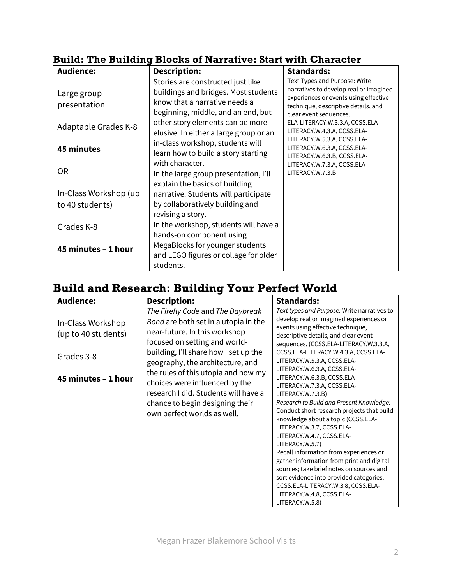| <b>Audience:</b>       | <b>Description:</b>                                                     | <b>Standards:</b>                                                               |
|------------------------|-------------------------------------------------------------------------|---------------------------------------------------------------------------------|
|                        | Stories are constructed just like                                       | Text Types and Purpose: Write                                                   |
| Large group            | buildings and bridges. Most students                                    | narratives to develop real or imagined<br>experiences or events using effective |
| presentation           | know that a narrative needs a                                           | technique, descriptive details, and                                             |
|                        | beginning, middle, and an end, but                                      | clear event sequences.                                                          |
| Adaptable Grades K-8   | other story elements can be more                                        | ELA-LITERACY.W.3.3.A, CCSS.ELA-                                                 |
|                        | elusive. In either a large group or an                                  | LITERACY.W.4.3.A, CCSS.ELA-<br>LITERACY.W.5.3.A, CCSS.ELA-                      |
| <b>45 minutes</b>      | in-class workshop, students will                                        | LITERACY.W.6.3.A, CCSS.ELA-                                                     |
|                        | learn how to build a story starting                                     | LITERACY.W.6.3.B, CCSS.ELA-                                                     |
| 0R                     | with character.                                                         | LITERACY.W.7.3.A, CCSS.ELA-<br>LITERACY.W.7.3.B                                 |
|                        | In the large group presentation, I'll<br>explain the basics of building |                                                                                 |
| In-Class Workshop (up) | narrative. Students will participate                                    |                                                                                 |
| to 40 students)        | by collaboratively building and                                         |                                                                                 |
|                        | revising a story.                                                       |                                                                                 |
| Grades K-8             | In the workshop, students will have a                                   |                                                                                 |
|                        | hands-on component using                                                |                                                                                 |
| 45 minutes - 1 hour    | MegaBlocks for younger students                                         |                                                                                 |
|                        | and LEGO figures or collage for older                                   |                                                                                 |
|                        | students.                                                               |                                                                                 |

## **Build: The Building Blocks of Narrative: Start with Character**

## **Build and Research: Building Your Perfect World**

| <b>Audience:</b>                         | <b>Description:</b>                                                                                                                                                             | <b>Standards:</b>                                                                                                                                                                                                                                                                                                                                                                                                                                                                                                                                                                               |
|------------------------------------------|---------------------------------------------------------------------------------------------------------------------------------------------------------------------------------|-------------------------------------------------------------------------------------------------------------------------------------------------------------------------------------------------------------------------------------------------------------------------------------------------------------------------------------------------------------------------------------------------------------------------------------------------------------------------------------------------------------------------------------------------------------------------------------------------|
| In-Class Workshop<br>(up to 40 students) | The Firefly Code and The Daybreak<br>Bond are both set in a utopia in the<br>near-future. In this workshop<br>focused on setting and world-                                     | Text types and Purpose: Write narratives to<br>develop real or imagined experiences or<br>events using effective technique,<br>descriptive details, and clear event<br>sequences. (CCSS.ELA-LITERACY.W.3.3.A,                                                                                                                                                                                                                                                                                                                                                                                   |
| Grades 3-8                               | building, I'll share how I set up the<br>geography, the architecture, and                                                                                                       | CCSS.ELA-LITERACY.W.4.3.A, CCSS.ELA-<br>LITERACY.W.5.3.A, CCSS.ELA-                                                                                                                                                                                                                                                                                                                                                                                                                                                                                                                             |
| 45 minutes - 1 hour                      | the rules of this utopia and how my<br>choices were influenced by the<br>research I did. Students will have a<br>chance to begin designing their<br>own perfect worlds as well. | LITERACY.W.6.3.A, CCSS.ELA-<br>LITERACY.W.6.3.B, CCSS.ELA-<br>LITERACY.W.7.3.A, CCSS.ELA-<br>LITERACY.W.7.3.B)<br>Research to Build and Present Knowledge:<br>Conduct short research projects that build<br>knowledge about a topic (CCSS.ELA-<br>LITERACY.W.3.7, CCSS.ELA-<br>LITERACY.W.4.7, CCSS.ELA-<br>LITERACY.W.5.7)<br>Recall information from experiences or<br>gather information from print and digital<br>sources; take brief notes on sources and<br>sort evidence into provided categories.<br>CCSS.ELA-LITERACY.W.3.8, CCSS.ELA-<br>LITERACY.W.4.8, CCSS.ELA-<br>LITERACY.W.5.8) |